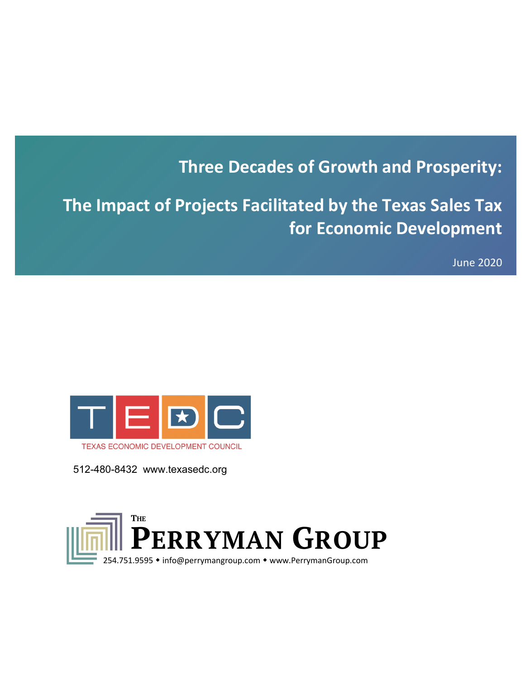# **Three Decades of Growth and Prosperity:**

**The Impact of Projects Facilitated by the Texas Sales Tax for Economic Development**

June 2020



512-480-8432 www.texasedc.org

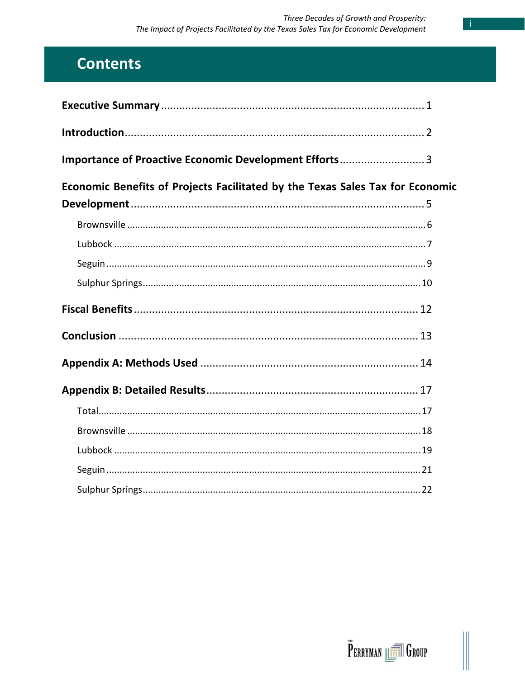Ĭ.

# **Contents**

| Importance of Proactive Economic Development Efforts 3                        |  |
|-------------------------------------------------------------------------------|--|
| Economic Benefits of Projects Facilitated by the Texas Sales Tax for Economic |  |
|                                                                               |  |
|                                                                               |  |
|                                                                               |  |
|                                                                               |  |
|                                                                               |  |
|                                                                               |  |
|                                                                               |  |
|                                                                               |  |
|                                                                               |  |
|                                                                               |  |
|                                                                               |  |
|                                                                               |  |
|                                                                               |  |

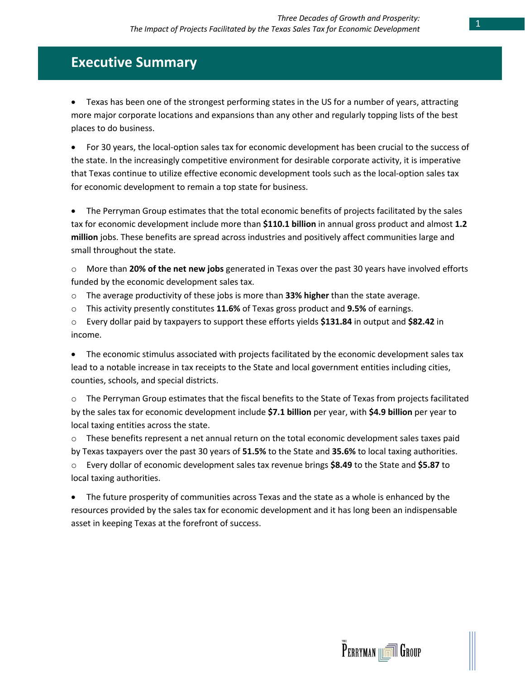# **Executive Summary**

• Texas has been one of the strongest performing states in the US for a number of years, attracting more major corporate locations and expansions than any other and regularly topping lists of the best places to do business.

• For 30 years, the local-option sales tax for economic development has been crucial to the success of the state. In the increasingly competitive environment for desirable corporate activity, it is imperative that Texas continue to utilize effective economic development tools such as the local-option sales tax for economic development to remain a top state for business.

• The Perryman Group estimates that the total economic benefits of projects facilitated by the sales tax for economic development include more than **\$110.1 billion** in annual gross product and almost **1.2 million** jobs. These benefits are spread across industries and positively affect communities large and small throughout the state.

o More than **20% of the net new jobs** generated in Texas over the past 30 years have involved efforts funded by the economic development sales tax.

o The average productivity of these jobs is more than **33% higher** than the state average.

o This activity presently constitutes **11.6%** of Texas gross product and **9.5%** of earnings.

o Every dollar paid by taxpayers to support these efforts yields **\$131.84** in output and **\$82.42** in income.

• The economic stimulus associated with projects facilitated by the economic development sales tax lead to a notable increase in tax receipts to the State and local government entities including cities, counties, schools, and special districts.

o The Perryman Group estimates that the fiscal benefits to the State of Texas from projects facilitated by the sales tax for economic development include **\$7.1 billion** per year, with **\$4.9 billion** per year to local taxing entities across the state.

 $\circ$  These benefits represent a net annual return on the total economic development sales taxes paid by Texas taxpayers over the past 30 years of **51.5%** to the State and **35.6%** to local taxing authorities. o Every dollar of economic development sales tax revenue brings **\$8.49** to the State and **\$5.87** to local taxing authorities.

• The future prosperity of communities across Texas and the state as a whole is enhanced by the resources provided by the sales tax for economic development and it has long been an indispensable asset in keeping Texas at the forefront of success.

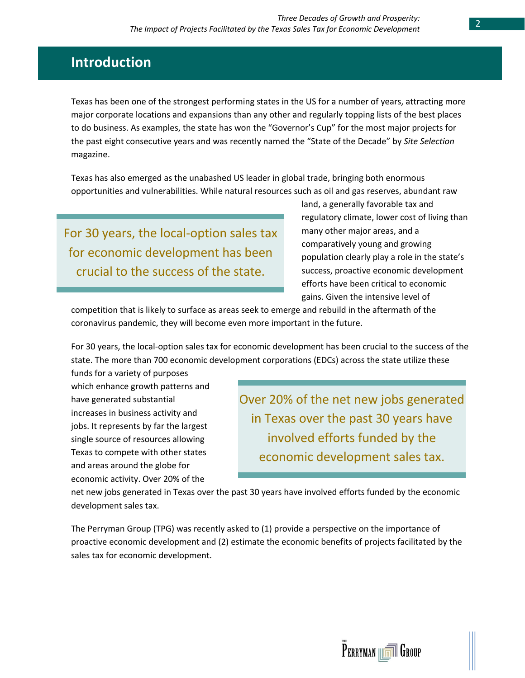# **Introduction**

Texas has been one of the strongest performing states in the US for a number of years, attracting more major corporate locations and expansions than any other and regularly topping lists of the best places to do business. As examples, the state has won the "Governor's Cup" for the most major projects for the past eight consecutive years and was recently named the "State of the Decade" by *Site Selection*  magazine.

Texas has also emerged as the unabashed US leader in global trade, bringing both enormous opportunities and vulnerabilities. While natural resources such as oil and gas reserves, abundant raw

For 30 years, the local-option sales tax for economic development has been crucial to the success of the state.

land, a generally favorable tax and regulatory climate, lower cost of living than many other major areas, and a comparatively young and growing population clearly play a role in the state's success, proactive economic development efforts have been critical to economic gains. Given the intensive level of

competition that is likely to surface as areas seek to emerge and rebuild in the aftermath of the coronavirus pandemic, they will become even more important in the future.

For 30 years, the local-option sales tax for economic development has been crucial to the success of the state. The more than 700 economic development corporations (EDCs) across the state utilize these

funds for a variety of purposes which enhance growth patterns and have generated substantial increases in business activity and jobs. It represents by far the largest single source of resources allowing Texas to compete with other states and areas around the globe for economic activity. Over 20% of the

Over 20% of the net new jobs generated in Texas over the past 30 years have involved efforts funded by the economic development sales tax.

net new jobs generated in Texas over the past 30 years have involved efforts funded by the economic development sales tax.

The Perryman Group (TPG) was recently asked to (1) provide a perspective on the importance of proactive economic development and (2) estimate the economic benefits of projects facilitated by the sales tax for economic development.

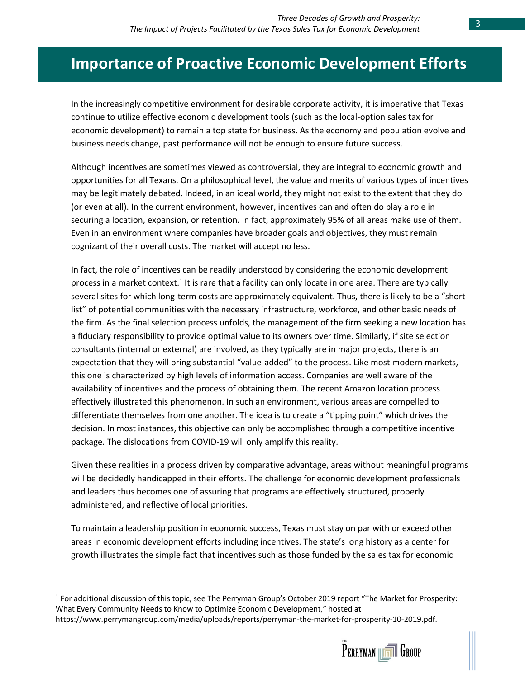# **Importance of Proactive Economic Development Efforts**

In the increasingly competitive environment for desirable corporate activity, it is imperative that Texas continue to utilize effective economic development tools (such as the local-option sales tax for economic development) to remain a top state for business. As the economy and population evolve and business needs change, past performance will not be enough to ensure future success.

Although incentives are sometimes viewed as controversial, they are integral to economic growth and opportunities for all Texans. On a philosophical level, the value and merits of various types of incentives may be legitimately debated. Indeed, in an ideal world, they might not exist to the extent that they do (or even at all). In the current environment, however, incentives can and often do play a role in securing a location, expansion, or retention. In fact, approximately 95% of all areas make use of them. Even in an environment where companies have broader goals and objectives, they must remain cognizant of their overall costs. The market will accept no less.

In fact, the role of incentives can be readily understood by considering the economic development process in a market context.<sup>1</sup> It is rare that a facility can only locate in one area. There are typically several sites for which long-term costs are approximately equivalent. Thus, there is likely to be a "short list" of potential communities with the necessary infrastructure, workforce, and other basic needs of the firm. As the final selection process unfolds, the management of the firm seeking a new location has a fiduciary responsibility to provide optimal value to its owners over time. Similarly, if site selection consultants (internal or external) are involved, as they typically are in major projects, there is an expectation that they will bring substantial "value-added" to the process. Like most modern markets, this one is characterized by high levels of information access. Companies are well aware of the availability of incentives and the process of obtaining them. The recent Amazon location process effectively illustrated this phenomenon. In such an environment, various areas are compelled to differentiate themselves from one another. The idea is to create a "tipping point" which drives the decision. In most instances, this objective can only be accomplished through a competitive incentive package. The dislocations from COVID-19 will only amplify this reality.

Given these realities in a process driven by comparative advantage, areas without meaningful programs will be decidedly handicapped in their efforts. The challenge for economic development professionals and leaders thus becomes one of assuring that programs are effectively structured, properly administered, and reflective of local priorities.

To maintain a leadership position in economic success, Texas must stay on par with or exceed other areas in economic development efforts including incentives. The state's long history as a center for growth illustrates the simple fact that incentives such as those funded by the sales tax for economic



<sup>1</sup> For additional discussion of this topic, see The Perryman Group's October 2019 report "The Market for Prosperity: What Every Community Needs to Know to Optimize Economic Development," hosted at https://www.perrymangroup.com/media/uploads/reports/perryman-the-market-for-prosperity-10-2019.pdf.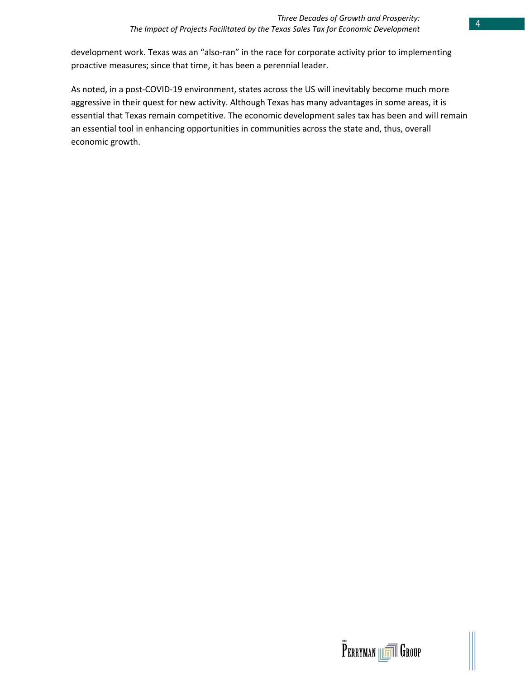development work. Texas was an "also-ran" in the race for corporate activity prior to implementing proactive measures; since that time, it has been a perennial leader.

As noted, in a post-COVID-19 environment, states across the US will inevitably become much more aggressive in their quest for new activity. Although Texas has many advantages in some areas, it is essential that Texas remain competitive. The economic development sales tax has been and will remain an essential tool in enhancing opportunities in communities across the state and, thus, overall economic growth.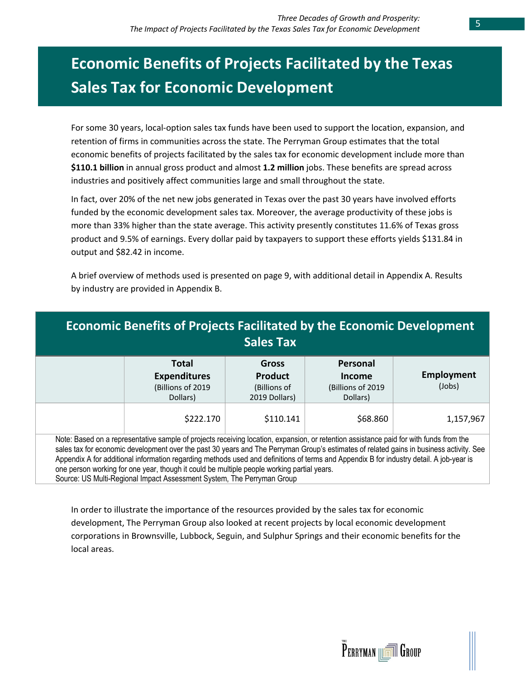# **Economic Benefits of Projects Facilitated by the Texas Sales Tax for Economic Development**

For some 30 years, local-option sales tax funds have been used to support the location, expansion, and retention of firms in communities across the state. The Perryman Group estimates that the total economic benefits of projects facilitated by the sales tax for economic development include more than **\$110.1 billion** in annual gross product and almost **1.2 million** jobs. These benefits are spread across industries and positively affect communities large and small throughout the state.

In fact, over 20% of the net new jobs generated in Texas over the past 30 years have involved efforts funded by the economic development sales tax. Moreover, the average productivity of these jobs is more than 33% higher than the state average. This activity presently constitutes 11.6% of Texas gross product and 9.5% of earnings. Every dollar paid by taxpayers to support these efforts yields \$131.84 in output and \$82.42 in income.

A brief overview of methods used is presented on page 9, with additional detail in Appendix A. Results by industry are provided in Appendix B.

| <b>Economic Benefits of Projects Facilitated by the Economic Development</b>                                                                                                                                                                                                                                                                                                                                                                                                                                                                                                                         | Sales Tax                                                       |                                                            |                             |
|------------------------------------------------------------------------------------------------------------------------------------------------------------------------------------------------------------------------------------------------------------------------------------------------------------------------------------------------------------------------------------------------------------------------------------------------------------------------------------------------------------------------------------------------------------------------------------------------------|-----------------------------------------------------------------|------------------------------------------------------------|-----------------------------|
| <b>Total</b><br><b>Expenditures</b><br>(Billions of 2019<br>Dollars)                                                                                                                                                                                                                                                                                                                                                                                                                                                                                                                                 | <b>Gross</b><br><b>Product</b><br>(Billions of<br>2019 Dollars) | Personal<br><b>Income</b><br>(Billions of 2019<br>Dollars) | <b>Employment</b><br>(Jobs) |
| \$222.170                                                                                                                                                                                                                                                                                                                                                                                                                                                                                                                                                                                            | \$110.141                                                       | \$68.860                                                   | 1,157,967                   |
| Note: Based on a representative sample of projects receiving location, expansion, or retention assistance paid for with funds from the<br>sales tax for economic development over the past 30 years and The Perryman Group's estimates of related gains in business activity. See<br>Appendix A for additional information regarding methods used and definitions of terms and Appendix B for industry detail. A job-year is<br>one person working for one year, though it could be multiple people working partial years.<br>Source: US Multi-Regional Impact Assessment System, The Perryman Group |                                                                 |                                                            |                             |

In order to illustrate the importance of the resources provided by the sales tax for economic development, The Perryman Group also looked at recent projects by local economic development corporations in Brownsville, Lubbock, Seguin, and Sulphur Springs and their economic benefits for the local areas.

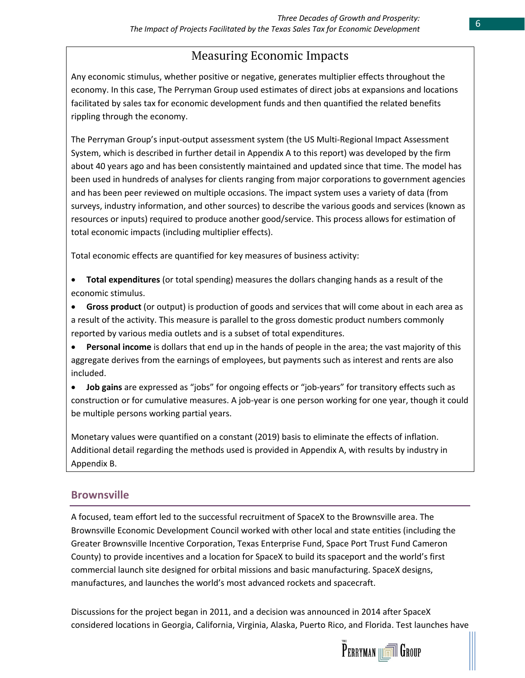# Measuring Economic Impacts

Any economic stimulus, whether positive or negative, generates multiplier effects throughout the economy. In this case, The Perryman Group used estimates of direct jobs at expansions and locations facilitated by sales tax for economic development funds and then quantified the related benefits rippling through the economy.

The Perryman Group's input-output assessment system (the US Multi-Regional Impact Assessment System, which is described in further detail in Appendix A to this report) was developed by the firm about 40 years ago and has been consistently maintained and updated since that time. The model has been used in hundreds of analyses for clients ranging from major corporations to government agencies and has been peer reviewed on multiple occasions. The impact system uses a variety of data (from surveys, industry information, and other sources) to describe the various goods and services (known as resources or inputs) required to produce another good/service. This process allows for estimation of total economic impacts (including multiplier effects).

Total economic effects are quantified for key measures of business activity:

- **Total expenditures** (or total spending) measures the dollars changing hands as a result of the economic stimulus.
- **Gross product** (or output) is production of goods and services that will come about in each area as a result of the activity. This measure is parallel to the gross domestic product numbers commonly reported by various media outlets and is a subset of total expenditures.
- **Personal income** is dollars that end up in the hands of people in the area; the vast majority of this aggregate derives from the earnings of employees, but payments such as interest and rents are also included.
- **Job gains** are expressed as "jobs" for ongoing effects or "job-years" for transitory effects such as construction or for cumulative measures. A job-year is one person working for one year, though it could be multiple persons working partial years.

Monetary values were quantified on a constant (2019) basis to eliminate the effects of inflation. Additional detail regarding the methods used is provided in Appendix A, with results by industry in Appendix B.

## **Brownsville**

A focused, team effort led to the successful recruitment of SpaceX to the Brownsville area. The Brownsville Economic Development Council worked with other local and state entities (including the Greater Brownsville Incentive Corporation, Texas Enterprise Fund, Space Port Trust Fund Cameron County) to provide incentives and a location for SpaceX to build its spaceport and the world's first commercial launch site designed for orbital missions and basic manufacturing. SpaceX designs, manufactures, and launches the world's most advanced rockets and spacecraft.

Discussions for the project began in 2011, and a decision was announced in 2014 after SpaceX considered locations in Georgia, California, Virginia, Alaska, Puerto Rico, and Florida. Test launches have

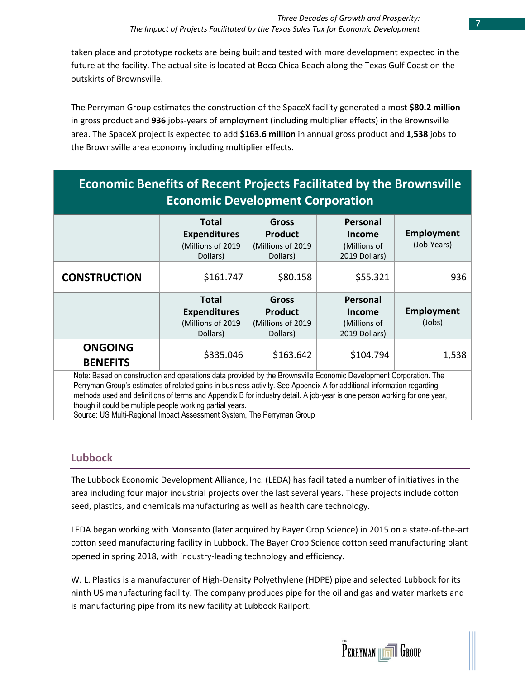taken place and prototype rockets are being built and tested with more development expected in the future at the facility. The actual site is located at Boca Chica Beach along the Texas Gulf Coast on the outskirts of Brownsville.

The Perryman Group estimates the construction of the SpaceX facility generated almost **\$80.2 million** in gross product and **936** jobs-years of employment (including multiplier effects) in the Brownsville area. The SpaceX project is expected to add **\$163.6 million** in annual gross product and **1,538** jobs to the Brownsville area economy including multiplier effects.

| <b>Economic Benefits of Recent Projects Facilitated by the Brownsville</b> |                     |                   |               |             |  |
|----------------------------------------------------------------------------|---------------------|-------------------|---------------|-------------|--|
| <b>Economic Development Corporation</b>                                    |                     |                   |               |             |  |
|                                                                            | <b>Total</b>        | <b>Gross</b>      | Personal      |             |  |
|                                                                            | <b>Expenditures</b> | <b>Product</b>    | <b>Income</b> | Employment  |  |
|                                                                            | (Millions of 2019   | (Millions of 2019 | (Millions of  | (Job-Years) |  |
|                                                                            | Dollars)            | Dollars)          | 2019 Dollars) |             |  |

| <b>CONSTRUCTION</b>                                                                                                                                                                                                                                                                                                                                                                                                                 | \$161.747                                                            | \$80.158                                                 | \$55.321                                                          | 936                  |  |
|-------------------------------------------------------------------------------------------------------------------------------------------------------------------------------------------------------------------------------------------------------------------------------------------------------------------------------------------------------------------------------------------------------------------------------------|----------------------------------------------------------------------|----------------------------------------------------------|-------------------------------------------------------------------|----------------------|--|
|                                                                                                                                                                                                                                                                                                                                                                                                                                     | <b>Total</b><br><b>Expenditures</b><br>(Millions of 2019<br>Dollars) | Gross<br><b>Product</b><br>(Millions of 2019<br>Dollars) | <b>Personal</b><br><b>Income</b><br>(Millions of<br>2019 Dollars) | Employment<br>(Jobs) |  |
| <b>ONGOING</b><br><b>BENEFITS</b>                                                                                                                                                                                                                                                                                                                                                                                                   | \$335.046                                                            | \$163.642                                                | \$104.794                                                         | 1,538                |  |
| Note: Based on construction and operations data provided by the Brownsville Economic Development Corporation. The<br>Perryman Group's estimates of related gains in business activity. See Appendix A for additional information regarding<br>methods used and definitions of terms and Appendix B for industry detail. A job-year is one person working for one year,<br>though it could be multiple people working partial years. |                                                                      |                                                          |                                                                   |                      |  |

Source: US Multi-Regional Impact Assessment System, The Perryman Group

## **Lubbock**

The Lubbock Economic Development Alliance, Inc. (LEDA) has facilitated a number of initiatives in the area including four major industrial projects over the last several years. These projects include cotton seed, plastics, and chemicals manufacturing as well as health care technology.

LEDA began working with Monsanto (later acquired by Bayer Crop Science) in 2015 on a state-of-the-art cotton seed manufacturing facility in Lubbock. The Bayer Crop Science cotton seed manufacturing plant opened in spring 2018, with industry-leading technology and efficiency.

W. L. Plastics is a manufacturer of High-Density Polyethylene (HDPE) pipe and selected Lubbock for its ninth US manufacturing facility. The company produces pipe for the oil and gas and water markets and is manufacturing pipe from its new facility at Lubbock Railport.

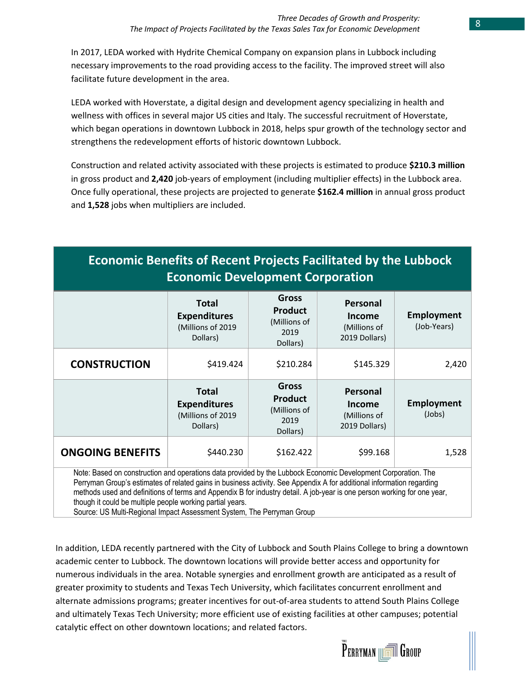In 2017, LEDA worked with Hydrite Chemical Company on expansion plans in Lubbock including necessary improvements to the road providing access to the facility. The improved street will also facilitate future development in the area.

LEDA worked with Hoverstate, a digital design and development agency specializing in health and wellness with offices in several major US cities and Italy. The successful recruitment of Hoverstate, which began operations in downtown Lubbock in 2018, helps spur growth of the technology sector and strengthens the redevelopment efforts of historic downtown Lubbock.

Construction and related activity associated with these projects is estimated to produce **\$210.3 million** in gross product and **2,420** job-years of employment (including multiplier effects) in the Lubbock area. Once fully operational, these projects are projected to generate **\$162.4 million** in annual gross product and **1,528** jobs when multipliers are included.

| <b>Economic Benefits of Recent Projects Facilitated by the Lubbock</b><br><b>Economic Development Corporation</b>                                                                                                                                                                                                                                                                                                                                                                                         |                                                                      |                                                                    |                                                     |                                  |  |  |
|-----------------------------------------------------------------------------------------------------------------------------------------------------------------------------------------------------------------------------------------------------------------------------------------------------------------------------------------------------------------------------------------------------------------------------------------------------------------------------------------------------------|----------------------------------------------------------------------|--------------------------------------------------------------------|-----------------------------------------------------|----------------------------------|--|--|
|                                                                                                                                                                                                                                                                                                                                                                                                                                                                                                           | <b>Total</b><br><b>Expenditures</b><br>(Millions of 2019<br>Dollars) | <b>Gross</b><br><b>Product</b><br>(Millions of<br>2019<br>Dollars) | Personal<br>Income<br>(Millions of<br>2019 Dollars) | <b>Employment</b><br>(Job-Years) |  |  |
| <b>CONSTRUCTION</b>                                                                                                                                                                                                                                                                                                                                                                                                                                                                                       | \$419.424                                                            | \$210.284                                                          | \$145.329                                           | 2,420                            |  |  |
| Gross<br><b>Total</b><br>Personal<br><b>Product</b><br><b>Employment</b><br><b>Expenditures</b><br>Income<br>(Millions of<br>(Millions of 2019<br>(Millions of<br>2019<br>Dollars)<br>2019 Dollars)<br>Dollars)                                                                                                                                                                                                                                                                                           |                                                                      |                                                                    |                                                     |                                  |  |  |
| <b>ONGOING BENEFITS</b><br>\$440.230<br>\$162.422<br>\$99.168<br>1,528                                                                                                                                                                                                                                                                                                                                                                                                                                    |                                                                      |                                                                    |                                                     |                                  |  |  |
| Note: Based on construction and operations data provided by the Lubbock Economic Development Corporation. The<br>Perryman Group's estimates of related gains in business activity. See Appendix A for additional information regarding<br>methods used and definitions of terms and Appendix B for industry detail. A job-year is one person working for one year,<br>though it could be multiple people working partial years.<br>Source: US Multi-Regional Impact Assessment System, The Perryman Group |                                                                      |                                                                    |                                                     |                                  |  |  |

In addition, LEDA recently partnered with the City of Lubbock and South Plains College to bring a downtown academic center to Lubbock. The downtown locations will provide better access and opportunity for numerous individuals in the area. Notable synergies and enrollment growth are anticipated as a result of greater proximity to students and Texas Tech University, which facilitates concurrent enrollment and alternate admissions programs; greater incentives for out-of-area students to attend South Plains College and ultimately Texas Tech University; more efficient use of existing facilities at other campuses; potential catalytic effect on other downtown locations; and related factors.

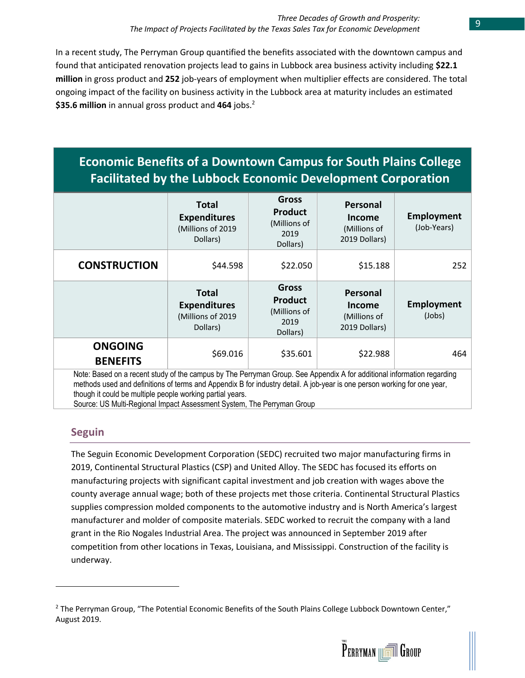In a recent study, The Perryman Group quantified the benefits associated with the downtown campus and found that anticipated renovation projects lead to gains in Lubbock area business activity including **\$22.1 million** in gross product and **252** job-years of employment when multiplier effects are considered. The total ongoing impact of the facility on business activity in the Lubbock area at maturity includes an estimated **\$35.6 million** in annual gross product and **464** jobs.<sup>2</sup>

# **Economic Benefits of a Downtown Campus for South Plains College Facilitated by the Lubbock Economic Development Corporation**

|                                                                                                                                                                                                                                                    | <b>Total</b><br><b>Expenditures</b><br>(Millions of 2019<br>Dollars) | <b>Gross</b><br><b>Product</b><br>(Millions of<br>2019<br>Dollars) | Personal<br><b>Income</b><br>(Millions of<br>2019 Dollars)        | <b>Employment</b><br>(Job-Years) |  |
|----------------------------------------------------------------------------------------------------------------------------------------------------------------------------------------------------------------------------------------------------|----------------------------------------------------------------------|--------------------------------------------------------------------|-------------------------------------------------------------------|----------------------------------|--|
| <b>CONSTRUCTION</b>                                                                                                                                                                                                                                | \$44.598                                                             | \$22.050                                                           | \$15.188                                                          | 252                              |  |
|                                                                                                                                                                                                                                                    | Total<br><b>Expenditures</b><br>(Millions of 2019<br>Dollars)        | <b>Gross</b><br><b>Product</b><br>(Millions of<br>2019<br>Dollars) | <b>Personal</b><br><b>Income</b><br>(Millions of<br>2019 Dollars) | Employment<br>(Jobs)             |  |
| <b>ONGOING</b><br><b>BENEFITS</b>                                                                                                                                                                                                                  | \$69.016                                                             | \$35.601                                                           | \$22.988                                                          | 464                              |  |
| Note: Based on a recent study of the campus by The Perryman Group. See Appendix A for additional information regarding<br>methods used and definitions of terms and Appendix B for industry detail. A job-year is one person working for one year, |                                                                      |                                                                    |                                                                   |                                  |  |

though it could be multiple people working partial years.

Source: US Multi-Regional Impact Assessment System, The Perryman Group

### **Seguin**

The Seguin Economic Development Corporation (SEDC) recruited two major manufacturing firms in 2019, Continental Structural Plastics (CSP) and United Alloy. The SEDC has focused its efforts on manufacturing projects with significant capital investment and job creation with wages above the county average annual wage; both of these projects met those criteria. Continental Structural Plastics supplies compression molded components to the automotive industry and is North America's largest manufacturer and molder of composite materials. SEDC worked to recruit the company with a land grant in the Rio Nogales Industrial Area. The project was announced in September 2019 after competition from other locations in Texas, Louisiana, and Mississippi. Construction of the facility is underway.



 $2$  The Perryman Group, "The Potential Economic Benefits of the South Plains College Lubbock Downtown Center," August 2019.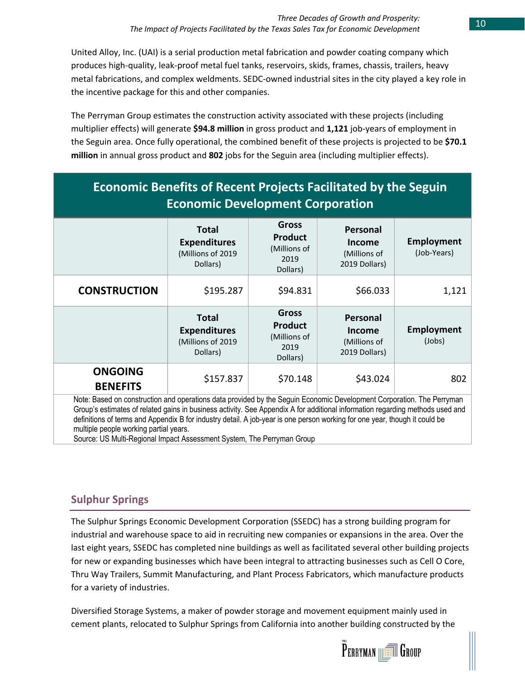United Alloy, Inc. (UAI) is a serial production metal fabrication and powder coating company which produces high-quality, leak-proof metal fuel tanks, reservoirs, skids, frames, chassis, trailers, heavy metal fabrications, and complex weldments. SEDC-owned industrial sites in the city played a key role in the incentive package for this and other companies.

The Perryman Group estimates the construction activity associated with these projects (including multiplier effects) will generate **\$94.8 million** in gross product and **1,121** job-years of employment in the Seguin area. Once fully operational, the combined benefit of these projects is projected to be **\$70.1 million** in annual gross product and **802** jobs for the Seguin area (including multiplier effects).

| <b>Economic Benefits of Recent Projects Facilitated by the Seguin</b><br><b>Economic Development Corporation</b>                                    |                                                                      |                                                                    |                                                                   |                           |  |
|-----------------------------------------------------------------------------------------------------------------------------------------------------|----------------------------------------------------------------------|--------------------------------------------------------------------|-------------------------------------------------------------------|---------------------------|--|
|                                                                                                                                                     | Total<br><b>Expenditures</b><br>(Millions of 2019<br>Dollars)        | <b>Gross</b><br><b>Product</b><br>(Millions of<br>2019<br>Dollars) | Personal<br>Income<br>(Millions of<br>2019 Dollars)               | Employment<br>(Job-Years) |  |
| <b>CONSTRUCTION</b>                                                                                                                                 | \$195.287                                                            | \$94.831                                                           | \$66.033                                                          | 1,121                     |  |
|                                                                                                                                                     | <b>Total</b><br><b>Expenditures</b><br>(Millions of 2019<br>Dollars) | <b>Gross</b><br><b>Product</b><br>(Millions of<br>2019<br>Dollars) | <b>Personal</b><br><b>Income</b><br>(Millions of<br>2019 Dollars) | Employment<br>(Jobs)      |  |
| <b>ONGOING</b><br><b>BENEFITS</b><br>Nation Disabilities in continuative and according a data member that Disabile Experiment Disabilities (The Dis | \$157.837                                                            | \$70.148                                                           | \$43.024                                                          | 802                       |  |

Note: Based on construction and operations data provided by the Seguin Economic Development Corporation. The Perryman Group's estimates of related gains in business activity. See Appendix A for additional information regarding methods used and definitions of terms and Appendix B for industry detail. A job-year is one person working for one year, though it could be multiple people working partial years.

Source: US Multi-Regional Impact Assessment System, The Perryman Group

## **Sulphur Springs**

The Sulphur Springs Economic Development Corporation (SSEDC) has a strong building program for industrial and warehouse space to aid in recruiting new companies or expansions in the area. Over the last eight years, SSEDC has completed nine buildings as well as facilitated several other building projects for new or expanding businesses which have been integral to attracting businesses such as Cell O Core, Thru Way Trailers, Summit Manufacturing, and Plant Process Fabricators, which manufacture products for a variety of industries.

Diversified Storage Systems, a maker of powder storage and movement equipment mainly used in cement plants, relocated to Sulphur Springs from California into another building constructed by the

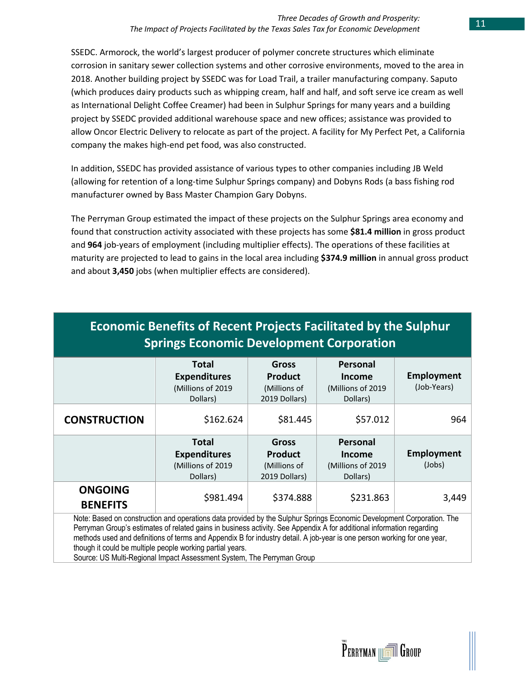SSEDC. Armorock, the world's largest producer of polymer concrete structures which eliminate corrosion in sanitary sewer collection systems and other corrosive environments, moved to the area in 2018. Another building project by SSEDC was for Load Trail, a trailer manufacturing company. Saputo (which produces dairy products such as whipping cream, half and half, and soft serve ice cream as well as International Delight Coffee Creamer) had been in Sulphur Springs for many years and a building project by SSEDC provided additional warehouse space and new offices; assistance was provided to allow Oncor Electric Delivery to relocate as part of the project. A facility for My Perfect Pet, a California company the makes high-end pet food, was also constructed.

In addition, SSEDC has provided assistance of various types to other companies including JB Weld (allowing for retention of a long-time Sulphur Springs company) and Dobyns Rods (a bass fishing rod manufacturer owned by Bass Master Champion Gary Dobyns.

The Perryman Group estimated the impact of these projects on the Sulphur Springs area economy and found that construction activity associated with these projects has some **\$81.4 million** in gross product and **964** job-years of employment (including multiplier effects). The operations of these facilities at maturity are projected to lead to gains in the local area including **\$374.9 million** in annual gross product and about **3,450** jobs (when multiplier effects are considered).

| <b>Economic Benefits of Recent Projects Facilitated by the Sulphur</b><br><b>Springs Economic Development Corporation</b>                                                                                                                                                                                                                                                                                                                                                                                         |                                                                      |                                                                 |                                                            |                                  |  |  |
|-------------------------------------------------------------------------------------------------------------------------------------------------------------------------------------------------------------------------------------------------------------------------------------------------------------------------------------------------------------------------------------------------------------------------------------------------------------------------------------------------------------------|----------------------------------------------------------------------|-----------------------------------------------------------------|------------------------------------------------------------|----------------------------------|--|--|
|                                                                                                                                                                                                                                                                                                                                                                                                                                                                                                                   | <b>Total</b><br><b>Expenditures</b><br>(Millions of 2019<br>Dollars) | <b>Gross</b><br><b>Product</b><br>(Millions of<br>2019 Dollars) | Personal<br><b>Income</b><br>(Millions of 2019<br>Dollars) | <b>Employment</b><br>(Job-Years) |  |  |
| <b>CONSTRUCTION</b>                                                                                                                                                                                                                                                                                                                                                                                                                                                                                               | \$162.624                                                            | \$81.445                                                        | \$57.012                                                   | 964                              |  |  |
| <b>Total</b><br>Personal<br><b>Gross</b><br><b>Employment</b><br><b>Product</b><br><b>Expenditures</b><br><b>Income</b><br>(Millions of 2019<br>(Millions of<br>(Millions of 2019<br>Dollars)<br>2019 Dollars)<br>Dollars)                                                                                                                                                                                                                                                                                        |                                                                      |                                                                 |                                                            |                                  |  |  |
| <b>ONGOING</b><br>\$981.494<br>\$374.888<br>\$231.863<br>3,449<br><b>BENEFITS</b>                                                                                                                                                                                                                                                                                                                                                                                                                                 |                                                                      |                                                                 |                                                            |                                  |  |  |
| Note: Based on construction and operations data provided by the Sulphur Springs Economic Development Corporation. The<br>Perryman Group's estimates of related gains in business activity. See Appendix A for additional information regarding<br>methods used and definitions of terms and Appendix B for industry detail. A job-year is one person working for one year,<br>though it could be multiple people working partial years.<br>Source: US Multi-Regional Impact Assessment System, The Perryman Group |                                                                      |                                                                 |                                                            |                                  |  |  |

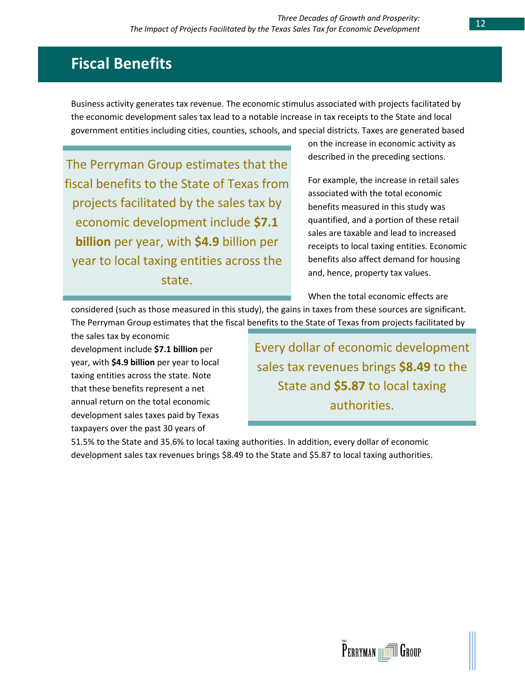# **Fiscal Benefits**

Business activity generates tax revenue. The economic stimulus associated with projects facilitated by the economic development sales tax lead to a notable increase in tax receipts to the State and local government entities including cities, counties, schools, and special districts. Taxes are generated based

The Perryman Group estimates that the fiscal benefits to the State of Texas from projects facilitated by the sales tax by economic development include **\$7.1 billion** per year, with **\$4.9** billion per year to local taxing entities across the state.

on the increase in economic activity as described in the preceding sections.

For example, the increase in retail sales associated with the total economic benefits measured in this study was quantified, and a portion of these retail sales are taxable and lead to increased receipts to local taxing entities. Economic benefits also affect demand for housing and, hence, property tax values.

When the total economic effects are

considered (such as those measured in this study), the gains in taxes from these sources are significant. The Perryman Group estimates that the fiscal benefits to the State of Texas from projects facilitated by

the sales tax by economic development include **\$7.1 billion** per year, with **\$4.9 billion** per year to local taxing entities across the state. Note that these benefits represent a net annual return on the total economic development sales taxes paid by Texas taxpayers over the past 30 years of

Every dollar of economic development sales tax revenues brings **\$8.49** to the State and **\$5.87** to local taxing authorities.

51.5% to the State and 35.6% to local taxing authorities. In addition, every dollar of economic development sales tax revenues brings \$8.49 to the State and \$5.87 to local taxing authorities.

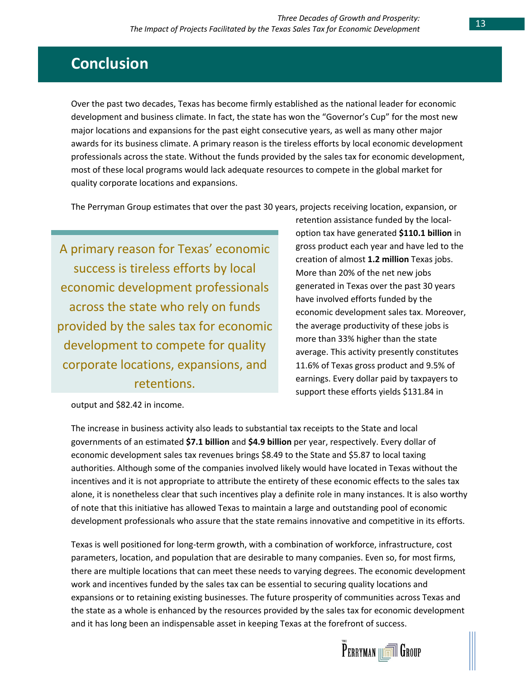# **Conclusion**

Over the past two decades, Texas has become firmly established as the national leader for economic development and business climate. In fact, the state has won the "Governor's Cup" for the most new major locations and expansions for the past eight consecutive years, as well as many other major awards for its business climate. A primary reason is the tireless efforts by local economic development professionals across the state. Without the funds provided by the sales tax for economic development, most of these local programs would lack adequate resources to compete in the global market for quality corporate locations and expansions.

The Perryman Group estimates that over the past 30 years, projects receiving location, expansion, or

A primary reason for Texas' economic success is tireless efforts by local economic development professionals across the state who rely on funds provided by the sales tax for economic development to compete for quality corporate locations, expansions, and retentions.

retention assistance funded by the localoption tax have generated **\$110.1 billion** in gross product each year and have led to the creation of almost **1.2 million** Texas jobs. More than 20% of the net new jobs generated in Texas over the past 30 years have involved efforts funded by the economic development sales tax. Moreover, the average productivity of these jobs is more than 33% higher than the state average. This activity presently constitutes 11.6% of Texas gross product and 9.5% of earnings. Every dollar paid by taxpayers to support these efforts yields \$131.84 in

output and \$82.42 in income.

The increase in business activity also leads to substantial tax receipts to the State and local governments of an estimated **\$7.1 billion** and **\$4.9 billion** per year, respectively. Every dollar of economic development sales tax revenues brings \$8.49 to the State and \$5.87 to local taxing authorities. Although some of the companies involved likely would have located in Texas without the incentives and it is not appropriate to attribute the entirety of these economic effects to the sales tax alone, it is nonetheless clear that such incentives play a definite role in many instances. It is also worthy of note that this initiative has allowed Texas to maintain a large and outstanding pool of economic development professionals who assure that the state remains innovative and competitive in its efforts.

Texas is well positioned for long-term growth, with a combination of workforce, infrastructure, cost parameters, location, and population that are desirable to many companies. Even so, for most firms, there are multiple locations that can meet these needs to varying degrees. The economic development work and incentives funded by the sales tax can be essential to securing quality locations and expansions or to retaining existing businesses. The future prosperity of communities across Texas and the state as a whole is enhanced by the resources provided by the sales tax for economic development and it has long been an indispensable asset in keeping Texas at the forefront of success.

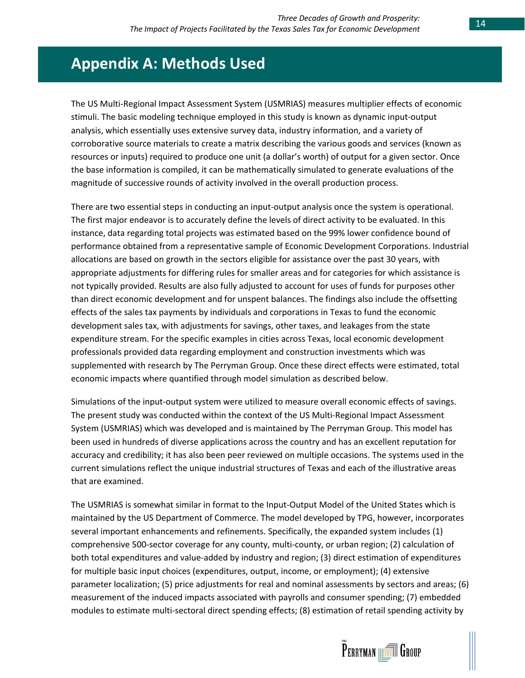# **Appendix A: Methods Used**

The US Multi-Regional Impact Assessment System (USMRIAS) measures multiplier effects of economic stimuli. The basic modeling technique employed in this study is known as dynamic input-output analysis, which essentially uses extensive survey data, industry information, and a variety of corroborative source materials to create a matrix describing the various goods and services (known as resources or inputs) required to produce one unit (a dollar's worth) of output for a given sector. Once the base information is compiled, it can be mathematically simulated to generate evaluations of the magnitude of successive rounds of activity involved in the overall production process.

There are two essential steps in conducting an input-output analysis once the system is operational. The first major endeavor is to accurately define the levels of direct activity to be evaluated. In this instance, data regarding total projects was estimated based on the 99% lower confidence bound of performance obtained from a representative sample of Economic Development Corporations. Industrial allocations are based on growth in the sectors eligible for assistance over the past 30 years, with appropriate adjustments for differing rules for smaller areas and for categories for which assistance is not typically provided. Results are also fully adjusted to account for uses of funds for purposes other than direct economic development and for unspent balances. The findings also include the offsetting effects of the sales tax payments by individuals and corporations in Texas to fund the economic development sales tax, with adjustments for savings, other taxes, and leakages from the state expenditure stream. For the specific examples in cities across Texas, local economic development professionals provided data regarding employment and construction investments which was supplemented with research by The Perryman Group. Once these direct effects were estimated, total economic impacts where quantified through model simulation as described below.

Simulations of the input-output system were utilized to measure overall economic effects of savings. The present study was conducted within the context of the US Multi-Regional Impact Assessment System (USMRIAS) which was developed and is maintained by The Perryman Group. This model has been used in hundreds of diverse applications across the country and has an excellent reputation for accuracy and credibility; it has also been peer reviewed on multiple occasions. The systems used in the current simulations reflect the unique industrial structures of Texas and each of the illustrative areas that are examined.

The USMRIAS is somewhat similar in format to the Input-Output Model of the United States which is maintained by the US Department of Commerce. The model developed by TPG, however, incorporates several important enhancements and refinements. Specifically, the expanded system includes (1) comprehensive 500-sector coverage for any county, multi-county, or urban region; (2) calculation of both total expenditures and value-added by industry and region; (3) direct estimation of expenditures for multiple basic input choices (expenditures, output, income, or employment); (4) extensive parameter localization; (5) price adjustments for real and nominal assessments by sectors and areas; (6) measurement of the induced impacts associated with payrolls and consumer spending; (7) embedded modules to estimate multi-sectoral direct spending effects; (8) estimation of retail spending activity by

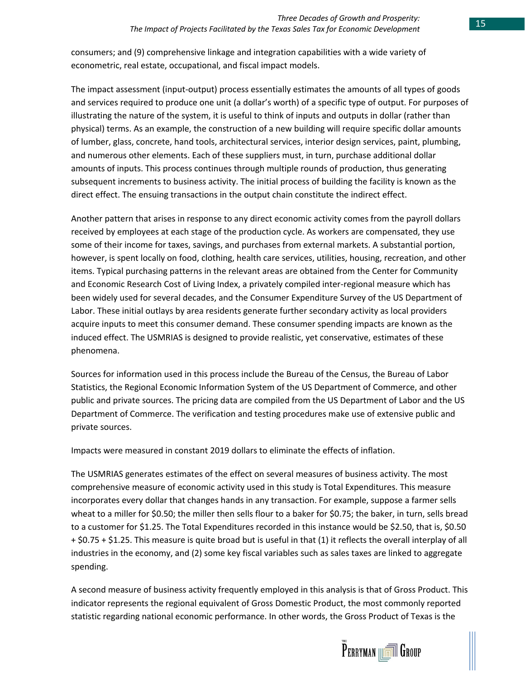consumers; and (9) comprehensive linkage and integration capabilities with a wide variety of econometric, real estate, occupational, and fiscal impact models.

The impact assessment (input-output) process essentially estimates the amounts of all types of goods and services required to produce one unit (a dollar's worth) of a specific type of output. For purposes of illustrating the nature of the system, it is useful to think of inputs and outputs in dollar (rather than physical) terms. As an example, the construction of a new building will require specific dollar amounts of lumber, glass, concrete, hand tools, architectural services, interior design services, paint, plumbing, and numerous other elements. Each of these suppliers must, in turn, purchase additional dollar amounts of inputs. This process continues through multiple rounds of production, thus generating subsequent increments to business activity. The initial process of building the facility is known as the direct effect. The ensuing transactions in the output chain constitute the indirect effect.

Another pattern that arises in response to any direct economic activity comes from the payroll dollars received by employees at each stage of the production cycle. As workers are compensated, they use some of their income for taxes, savings, and purchases from external markets. A substantial portion, however, is spent locally on food, clothing, health care services, utilities, housing, recreation, and other items. Typical purchasing patterns in the relevant areas are obtained from the Center for Community and Economic Research Cost of Living Index, a privately compiled inter-regional measure which has been widely used for several decades, and the Consumer Expenditure Survey of the US Department of Labor. These initial outlays by area residents generate further secondary activity as local providers acquire inputs to meet this consumer demand. These consumer spending impacts are known as the induced effect. The USMRIAS is designed to provide realistic, yet conservative, estimates of these phenomena.

Sources for information used in this process include the Bureau of the Census, the Bureau of Labor Statistics, the Regional Economic Information System of the US Department of Commerce, and other public and private sources. The pricing data are compiled from the US Department of Labor and the US Department of Commerce. The verification and testing procedures make use of extensive public and private sources.

Impacts were measured in constant 2019 dollars to eliminate the effects of inflation.

The USMRIAS generates estimates of the effect on several measures of business activity. The most comprehensive measure of economic activity used in this study is Total Expenditures. This measure incorporates every dollar that changes hands in any transaction. For example, suppose a farmer sells wheat to a miller for \$0.50; the miller then sells flour to a baker for \$0.75; the baker, in turn, sells bread to a customer for \$1.25. The Total Expenditures recorded in this instance would be \$2.50, that is, \$0.50 + \$0.75 + \$1.25. This measure is quite broad but is useful in that (1) it reflects the overall interplay of all industries in the economy, and (2) some key fiscal variables such as sales taxes are linked to aggregate spending.

A second measure of business activity frequently employed in this analysis is that of Gross Product. This indicator represents the regional equivalent of Gross Domestic Product, the most commonly reported statistic regarding national economic performance. In other words, the Gross Product of Texas is the

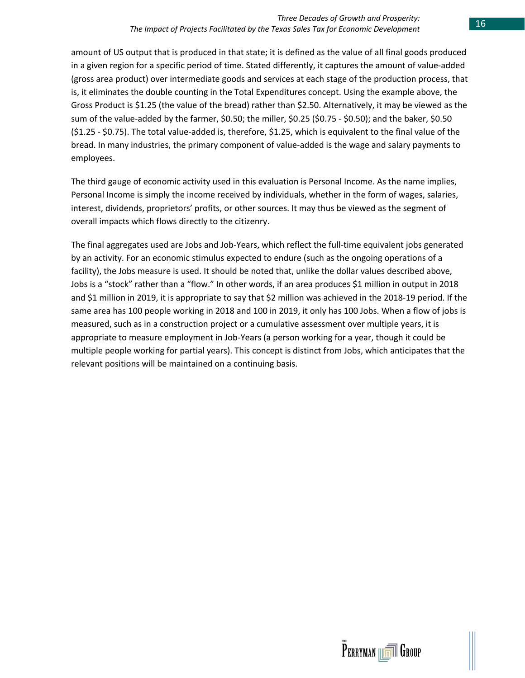amount of US output that is produced in that state; it is defined as the value of all final goods produced in a given region for a specific period of time. Stated differently, it captures the amount of value-added (gross area product) over intermediate goods and services at each stage of the production process, that is, it eliminates the double counting in the Total Expenditures concept. Using the example above, the Gross Product is \$1.25 (the value of the bread) rather than \$2.50. Alternatively, it may be viewed as the sum of the value-added by the farmer, \$0.50; the miller, \$0.25 (\$0.75 - \$0.50); and the baker, \$0.50 (\$1.25 - \$0.75). The total value-added is, therefore, \$1.25, which is equivalent to the final value of the bread. In many industries, the primary component of value-added is the wage and salary payments to employees.

The third gauge of economic activity used in this evaluation is Personal Income. As the name implies, Personal Income is simply the income received by individuals, whether in the form of wages, salaries, interest, dividends, proprietors' profits, or other sources. It may thus be viewed as the segment of overall impacts which flows directly to the citizenry.

The final aggregates used are Jobs and Job-Years, which reflect the full-time equivalent jobs generated by an activity. For an economic stimulus expected to endure (such as the ongoing operations of a facility), the Jobs measure is used. It should be noted that, unlike the dollar values described above, Jobs is a "stock" rather than a "flow." In other words, if an area produces \$1 million in output in 2018 and \$1 million in 2019, it is appropriate to say that \$2 million was achieved in the 2018-19 period. If the same area has 100 people working in 2018 and 100 in 2019, it only has 100 Jobs. When a flow of jobs is measured, such as in a construction project or a cumulative assessment over multiple years, it is appropriate to measure employment in Job-Years (a person working for a year, though it could be multiple people working for partial years). This concept is distinct from Jobs, which anticipates that the relevant positions will be maintained on a continuing basis.

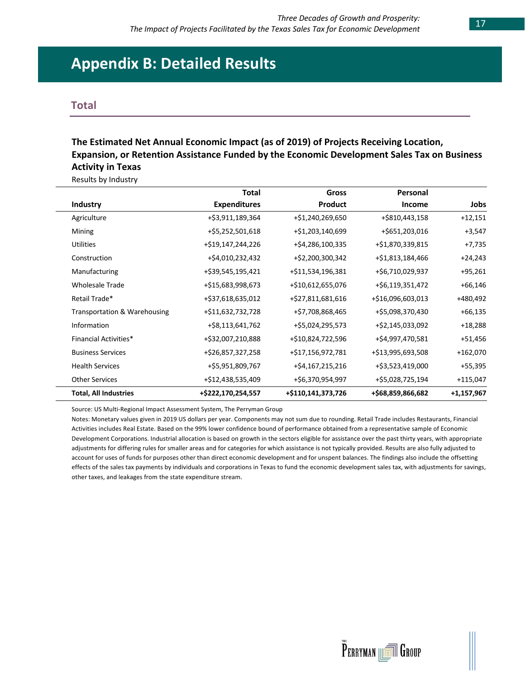# **Appendix B: Detailed Results**

#### **Total**

### **The Estimated Net Annual Economic Impact (as of 2019) of Projects Receiving Location, Expansion, or Retention Assistance Funded by the Economic Development Sales Tax on Business Activity in Texas**

Results by Industry

|                              | <b>Total</b>        | Gross              | Personal          |              |
|------------------------------|---------------------|--------------------|-------------------|--------------|
| <b>Industry</b>              | <b>Expenditures</b> | Product            | Income            | Jobs         |
| Agriculture                  | +\$3,911,189,364    | +\$1,240,269,650   | +\$810,443,158    | $+12,151$    |
| Mining                       | +\$5,252,501,618    | +\$1,203,140,699   | +\$651,203,016    | $+3,547$     |
| <b>Utilities</b>             | +\$19,147,244,226   | +\$4,286,100,335   | +\$1,870,339,815  | $+7,735$     |
| Construction                 | +\$4,010,232,432    | +\$2,200,300,342   | +\$1,813,184,466  | $+24,243$    |
| Manufacturing                | +\$39,545,195,421   | +\$11,534,196,381  | +\$6,710,029,937  | $+95,261$    |
| <b>Wholesale Trade</b>       | +\$15,683,998,673   | +\$10,612,655,076  | +\$6,119,351,472  | $+66,146$    |
| Retail Trade*                | +\$37,618,635,012   | +\$27,811,681,616  | +\$16,096,603,013 | +480,492     |
| Transportation & Warehousing | +\$11,632,732,728   | +\$7,708,868,465   | +\$5,098,370,430  | $+66,135$    |
| Information                  | +\$8,113,641,762    | +\$5,024,295,573   | +\$2,145,033,092  | $+18,288$    |
| <b>Financial Activities*</b> | +\$32,007,210,888   | +\$10,824,722,596  | +\$4,997,470,581  | +51,456      |
| <b>Business Services</b>     | +\$26,857,327,258   | +\$17,156,972,781  | +\$13,995,693,508 | +162,070     |
| <b>Health Services</b>       | +\$5,951,809,767    | +\$4,167,215,216   | +\$3,523,419,000  | $+55,395$    |
| <b>Other Services</b>        | +\$12,438,535,409   | +\$6,370,954,997   | +\$5,028,725,194  | +115,047     |
| <b>Total, All Industries</b> | +\$222,170,254,557  | +\$110,141,373,726 | +\$68,859,866,682 | $+1,157,967$ |

Source: US Multi-Regional Impact Assessment System, The Perryman Group

Notes: Monetary values given in 2019 US dollars per year. Components may not sum due to rounding. Retail Trade includes Restaurants, Financial Activities includes Real Estate. Based on the 99% lower confidence bound of performance obtained from a representative sample of Economic Development Corporations. Industrial allocation is based on growth in the sectors eligible for assistance over the past thirty years, with appropriate adjustments for differing rules for smaller areas and for categories for which assistance is not typically provided. Results are also fully adjusted to account for uses of funds for purposes other than direct economic development and for unspent balances. The findings also include the offsetting effects of the sales tax payments by individuals and corporations in Texas to fund the economic development sales tax, with adjustments for savings, other taxes, and leakages from the state expenditure stream.

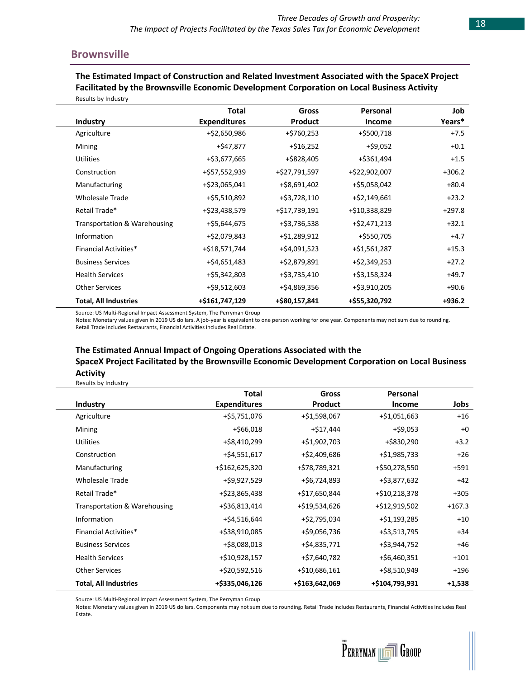#### **Brownsville**

**The Estimated Impact of Construction and Related Investment Associated with the SpaceX Project Facilitated by the Brownsville Economic Development Corporation on Local Business Activity** Results by Industry

|                                         | <b>Total</b>        | <b>Gross</b>    | Personal      | Job      |
|-----------------------------------------|---------------------|-----------------|---------------|----------|
| <b>Industry</b>                         | <b>Expenditures</b> | <b>Product</b>  | <b>Income</b> | Years*   |
| Agriculture                             | +\$2,650,986        | +\$760,253      | +\$500,718    | $+7.5$   |
| Mining                                  | $+ $47,877$         | $+ $16,252$     | $+$ \$9,052   | $+0.1$   |
| <b>Utilities</b>                        | +\$3,677,665        | +\$828,405      | +\$361,494    | $+1.5$   |
| Construction                            | +\$57,552,939       | +\$27,791,597   | +\$22,902,007 | $+306.2$ |
| Manufacturing                           | +\$23,065,041       | +\$8,691,402    | +\$5,058,042  | $+80.4$  |
| <b>Wholesale Trade</b>                  | +\$5,510,892        | $+$ \$3,728,110 | +\$2,149,661  | $+23.2$  |
| Retail Trade*                           | +\$23,438,579       | +\$17,739,191   | +\$10,338,829 | $+297.8$ |
| <b>Transportation &amp; Warehousing</b> | +\$5,644,675        | +\$3,736,538    | +\$2,471,213  | $+32.1$  |
| Information                             | +\$2,079,843        | +\$1,289,912    | +\$550,705    | $+4.7$   |
| Financial Activities*                   | +\$18,571,744       | +\$4,091,523    | +\$1,561,287  | $+15.3$  |
| <b>Business Services</b>                | +\$4,651,483        | +\$2,879,891    | +\$2,349,253  | $+27.2$  |
| <b>Health Services</b>                  | +\$5,342,803        | +\$3,735,410    | +\$3,158,324  | +49.7    |
| <b>Other Services</b>                   | +\$9,512,603        | +\$4,869,356    | +\$3,910,205  | $+90.6$  |
| <b>Total, All Industries</b>            | +\$161,747,129      | +\$80,157,841   | +\$55,320,792 | $+936.2$ |

Source: US Multi-Regional Impact Assessment System, The Perryman Group

Notes: Monetary values given in 2019 US dollars. A job-year is equivalent to one person working for one year. Components may not sum due to rounding. Retail Trade includes Restaurants, Financial Activities includes Real Estate.

### **The Estimated Annual Impact of Ongoing Operations Associated with the SpaceX Project Facilitated by the Brownsville Economic Development Corporation on Local Business Activity**

Results by Industry

|                              | Total               | Gross          | Personal        |          |
|------------------------------|---------------------|----------------|-----------------|----------|
| Industry                     | <b>Expenditures</b> | <b>Product</b> | <b>Income</b>   | Jobs     |
| Agriculture                  | +\$5,751,076        | +\$1,598,067   | $+ $1,051,663$  | $+16$    |
| Mining                       | $+ $66,018$         | +\$17,444      | $+$ \$9,053     | $+0$     |
| <b>Utilities</b>             | +\$8,410,299        | +\$1,902,703   | +\$830,290      | $+3.2$   |
| Construction                 | +\$4,551,617        | +\$2,409,686   | $+ $1,985,733$  | $+26$    |
| Manufacturing                | +\$162,625,320      | +\$78,789,321  | +\$50,278,550   | $+591$   |
| <b>Wholesale Trade</b>       | +\$9,927,529        | +\$6,724,893   | +\$3,877,632    | $+42$    |
| Retail Trade*                | +\$23,865,438       | +\$17,650,844  | +\$10,218,378   | $+305$   |
| Transportation & Warehousing | +\$36,813,414       | +\$19,534,626  | +\$12,919,502   | $+167.3$ |
| Information                  | +\$4,516,644        | +\$2,795,034   | +\$1,193,285    | $+10$    |
| Financial Activities*        | +\$38,910,085       | +\$9,056,736   | +\$3,513,795    | $+34$    |
| <b>Business Services</b>     | +\$8,088,013        | +\$4,835,771   | +\$3,944,752    | +46      |
| <b>Health Services</b>       | +\$10,928,157       | +\$7,640,782   | $+$ \$6,460,351 | $+101$   |
| <b>Other Services</b>        | +\$20,592,516       | +\$10,686,161  | +\$8,510,949    | $+196$   |
| <b>Total, All Industries</b> | +\$335,046,126      | +\$163,642,069 | +\$104,793,931  | $+1,538$ |

Source: US Multi-Regional Impact Assessment System, The Perryman Group

Notes: Monetary values given in 2019 US dollars. Components may not sum due to rounding. Retail Trade includes Restaurants, Financial Activities includes Real Estate.

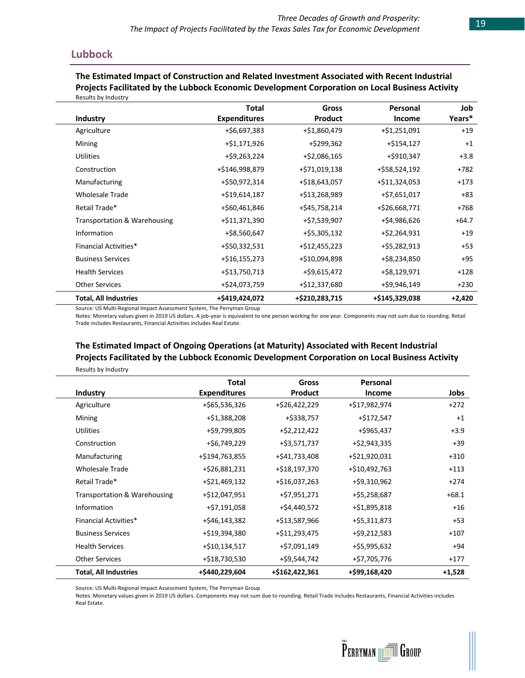#### **Lubbock**

Results by Industry

#### **The Estimated Impact of Construction and Related Investment Associated with Recent Industrial Projects Facilitated by the Lubbock Economic Development Corporation on Local Business Activity** Results by Industry

|                              | <b>Total</b>        | <b>Gross</b>    | Personal       | Job      |
|------------------------------|---------------------|-----------------|----------------|----------|
| Industry                     | <b>Expenditures</b> | <b>Product</b>  | Income         | Years*   |
| Agriculture                  | +\$6,697,383        | +\$1,860,479    | +\$1,251,091   | $+19$    |
| Mining                       | +\$1,171,926        | +\$299,362      | $+ $154,127$   | $+1$     |
| <b>Utilities</b>             | +\$9,263,224        | +\$2,086,165    | +\$910,347     | $+3.8$   |
| Construction                 | +\$146,998,879      | +\$71,019,138   | +\$58,524,192  | +782     |
| Manufacturing                | +\$50,972,314       | +\$18,643,057   | +\$11,324,053  | $+173$   |
| <b>Wholesale Trade</b>       | +\$19,614,187       | +\$13,268,989   | +\$7,651,017   | $+83$    |
| Retail Trade*                | +\$60,461,846       | +\$45,758,214   | +\$26,668,771  | $+768$   |
| Transportation & Warehousing | +\$11,371,390       | +\$7,539,907    | +\$4,986,626   | $+64.7$  |
| Information                  | +\$8,560,647        | $+$ \$5,305,132 | +\$2,264,931   | $+19$    |
| Financial Activities*        | +\$50,332,531       | +\$12,455,223   | +\$5,282,913   | $+53$    |
| <b>Business Services</b>     | $+ $16,155,273$     | +\$10,094,898   | +\$8,234,850   | $+95$    |
| <b>Health Services</b>       | +\$13,750,713       | +\$9,615,472    | +\$8,129,971   | $+128$   |
| <b>Other Services</b>        | +\$24,073,759       | +\$12,337,680   | +\$9,946,149   | $+230$   |
| <b>Total, All Industries</b> | +\$419,424,072      | +\$210,283,715  | +\$145,329,038 | $+2,420$ |

Source: US Multi-Regional Impact Assessment System, The Perryman Group

Notes: Monetary values given in 2019 US dollars. A job-year is equivalent to one person working for one year. Components may not sum due to rounding. Retail Trade includes Restaurants, Financial Activities includes Real Estate.

### **The Estimated Impact of Ongoing Operations (at Maturity) Associated with Recent Industrial Projects Facilitated by the Lubbock Economic Development Corporation on Local Business Activity**

|                                         | <b>Total</b>        | Gross          | Personal      |          |
|-----------------------------------------|---------------------|----------------|---------------|----------|
| <b>Industry</b>                         | <b>Expenditures</b> | <b>Product</b> | Income        | Jobs     |
| Agriculture                             | +\$65,536,326       | +\$26,422,229  | +\$17,982,974 | $+272$   |
| Mining                                  | +\$1,388,208        | +\$338,757     | +\$172,547    | $+1$     |
| <b>Utilities</b>                        | +\$9,799,805        | +\$2,212,422   | +\$965,437    | $+3.9$   |
| Construction                            | +\$6,749,229        | +\$3,571,737   | +\$2,943,335  | $+39$    |
| Manufacturing                           | +\$194,763,855      | +\$41,733,408  | +\$21,920,031 | $+310$   |
| <b>Wholesale Trade</b>                  | +\$26,881,231       | +\$18,197,370  | +\$10,492,763 | $+113$   |
| Retail Trade*                           | +\$21,469,132       | +\$16,037,263  | +\$9,310,962  | $+274$   |
| <b>Transportation &amp; Warehousing</b> | +\$12,047,951       | +\$7,951,271   | +\$5,258,687  | $+68.1$  |
| Information                             | +\$7,191,058        | +\$4,440,572   | +\$1,895,818  | $+16$    |
| <b>Financial Activities*</b>            | +\$46,143,382       | +\$13,587,966  | +\$5,311,873  | $+53$    |
| <b>Business Services</b>                | +\$19,394,380       | +\$11,293,475  | +\$9,212,583  | $+107$   |
| <b>Health Services</b>                  | +\$10,134,517       | +\$7,091,149   | +\$5,995,632  | +94      |
| <b>Other Services</b>                   | +\$18,730,530       | +\$9,544,742   | +\$7,705,776  | $+177$   |
| <b>Total, All Industries</b>            | +\$440,229,604      | +\$162,422,361 | +\$99,168,420 | $+1,528$ |

Source: US Multi-Regional Impact Assessment System, The Perryman Group

Notes: Monetary values given in 2019 US dollars. Components may not sum due to rounding. Retail Trade includes Restaurants, Financial Activities includes Real Estate.

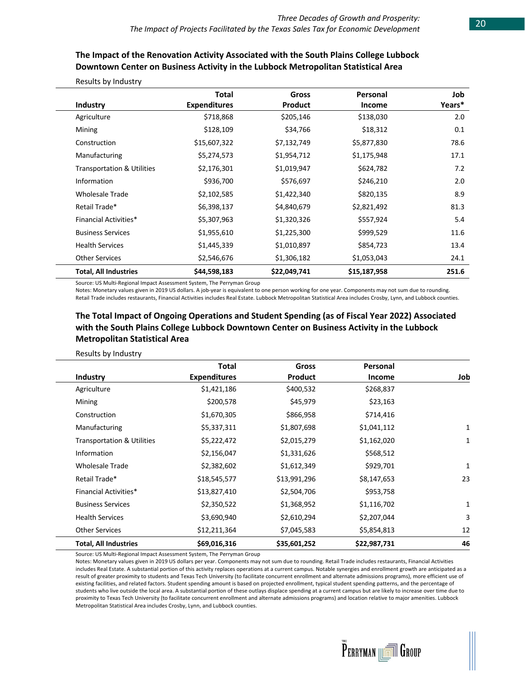### **The Impact of the Renovation Activity Associated with the South Plains College Lubbock Downtown Center on Business Activity in the Lubbock Metropolitan Statistical Area**

|                                       | <b>Total</b>        | Gross        | Personal     | Job    |
|---------------------------------------|---------------------|--------------|--------------|--------|
| Industry                              | <b>Expenditures</b> | Product      | Income       | Years* |
| Agriculture                           | \$718,868           | \$205,146    | \$138,030    | 2.0    |
| Mining                                | \$128,109           | \$34,766     | \$18,312     | 0.1    |
| Construction                          | \$15,607,322        | \$7,132,749  | \$5,877,830  | 78.6   |
| Manufacturing                         | \$5,274,573         | \$1,954,712  | \$1,175,948  | 17.1   |
| <b>Transportation &amp; Utilities</b> | \$2,176,301         | \$1,019,947  | \$624,782    | 7.2    |
| Information                           | \$936,700           | \$576,697    | \$246,210    | 2.0    |
| <b>Wholesale Trade</b>                | \$2,102,585         | \$1,422,340  | \$820,135    | 8.9    |
| Retail Trade*                         | \$6,398,137         | \$4,840,679  | \$2,821,492  | 81.3   |
| Financial Activities*                 | \$5,307,963         | \$1,320,326  | \$557,924    | 5.4    |
| <b>Business Services</b>              | \$1,955,610         | \$1,225,300  | \$999,529    | 11.6   |
| <b>Health Services</b>                | \$1,445,339         | \$1,010,897  | \$854,723    | 13.4   |
| <b>Other Services</b>                 | \$2,546,676         | \$1,306,182  | \$1,053,043  | 24.1   |
| <b>Total, All Industries</b>          | \$44,598,183        | \$22,049,741 | \$15,187,958 | 251.6  |

#### Results by Industry

Source: US Multi-Regional Impact Assessment System, The Perryman Group

Notes: Monetary values given in 2019 US dollars. A job-year is equivalent to one person working for one year. Components may not sum due to rounding. Retail Trade includes restaurants, Financial Activities includes Real Estate. Lubbock Metropolitan Statistical Area includes Crosby, Lynn, and Lubbock counties.

### **The Total Impact of Ongoing Operations and Student Spending (as of Fiscal Year 2022) Associated with the South Plains College Lubbock Downtown Center on Business Activity in the Lubbock Metropolitan Statistical Area**

#### Results by Industry

|                                       | <b>Total</b>        | Gross        | Personal     |     |
|---------------------------------------|---------------------|--------------|--------------|-----|
| Industry                              | <b>Expenditures</b> | Product      | Income       | Job |
| Agriculture                           | \$1,421,186         | \$400,532    | \$268,837    |     |
| Mining                                | \$200,578           | \$45,979     | \$23,163     |     |
| Construction                          | \$1,670,305         | \$866,958    | \$714,416    |     |
| Manufacturing                         | \$5,337,311         | \$1,807,698  | \$1,041,112  | 1   |
| <b>Transportation &amp; Utilities</b> | \$5,222,472         | \$2,015,279  | \$1,162,020  | 1   |
| Information                           | \$2,156,047         | \$1,331,626  | \$568,512    |     |
| <b>Wholesale Trade</b>                | \$2,382,602         | \$1,612,349  | \$929,701    | 1   |
| Retail Trade*                         | \$18,545,577        | \$13,991,296 | \$8,147,653  | 23  |
| <b>Financial Activities*</b>          | \$13,827,410        | \$2,504,706  | \$953,758    |     |
| <b>Business Services</b>              | \$2,350,522         | \$1,368,952  | \$1,116,702  | 1   |
| <b>Health Services</b>                | \$3,690,940         | \$2,610,294  | \$2,207,044  | 3   |
| <b>Other Services</b>                 | \$12,211,364        | \$7,045,583  | \$5,854,813  | 12  |
| <b>Total, All Industries</b>          | \$69,016,316        | \$35,601,252 | \$22,987,731 | 46  |

Source: US Multi-Regional Impact Assessment System, The Perryman Group

Notes: Monetary values given in 2019 US dollars per year. Components may not sum due to rounding. Retail Trade includes restaurants, Financial Activities includes Real Estate. A substantial portion of this activity replaces operations at a current campus. Notable synergies and enrollment growth are anticipated as a result of greater proximity to students and Texas Tech University (to facilitate concurrent enrollment and alternate admissions programs), more efficient use of existing facilities, and related factors. Student spending amount is based on projected enrollment, typical student spending patterns, and the percentage of students who live outside the local area. A substantial portion of these outlays displace spending at a current campus but are likely to increase over time due to proximity to Texas Tech University (to facilitate concurrent enrollment and alternate admissions programs) and location relative to major amenities. Lubbock Metropolitan Statistical Area includes Crosby, Lynn, and Lubbock counties.

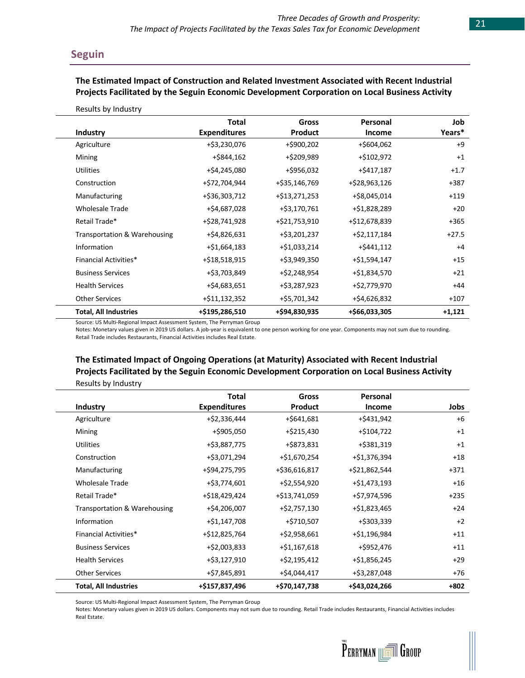### **Seguin**

#### **The Estimated Impact of Construction and Related Investment Associated with Recent Industrial Projects Facilitated by the Seguin Economic Development Corporation on Local Business Activity**

|  |  | Results by Industry |
|--|--|---------------------|
|--|--|---------------------|

|                                         | <b>Total</b>        | Gross          | Personal      | Job      |
|-----------------------------------------|---------------------|----------------|---------------|----------|
| Industry                                | <b>Expenditures</b> | <b>Product</b> | <b>Income</b> | Years*   |
| Agriculture                             | +\$3,230,076        | +\$900,202     | +\$604,062    | $+9$     |
| Mining                                  | +\$844,162          | +\$209,989     | +\$102,972    | $+1$     |
| <b>Utilities</b>                        | +\$4,245,080        | +\$956,032     | +\$417,187    | $+1.7$   |
| Construction                            | +\$72,704,944       | +\$35,146,769  | +\$28,963,126 | $+387$   |
| Manufacturing                           | +\$36,303,712       | +\$13,271,253  | +\$8,045,014  | $+119$   |
| <b>Wholesale Trade</b>                  | +\$4,687,028        | +\$3,170,761   | +\$1,828,289  | $+20$    |
| Retail Trade*                           | +\$28,741,928       | +\$21,753,910  | +\$12,678,839 | $+365$   |
| <b>Transportation &amp; Warehousing</b> | +\$4,826,631        | +\$3,201,237   | +\$2,117,184  | $+27.5$  |
| Information                             | $+ $1,664,183$      | +\$1,033,214   | $+ $441,112$  | $+4$     |
| <b>Financial Activities*</b>            | +\$18,518,915       | +\$3,949,350   | +\$1,594,147  | $+15$    |
| <b>Business Services</b>                | +\$3,703,849        | +\$2,248,954   | +\$1,834,570  | $+21$    |
| <b>Health Services</b>                  | +\$4,683,651        | +\$3,287,923   | +\$2,779,970  | $+44$    |
| <b>Other Services</b>                   | +\$11,132,352       | +\$5,701,342   | +\$4,626,832  | $+107$   |
| <b>Total, All Industries</b>            | +\$195,286,510      | +\$94,830,935  | +\$66,033,305 | $+1,121$ |

Source: US Multi-Regional Impact Assessment System, The Perryman Group

Notes: Monetary values given in 2019 US dollars. A job-year is equivalent to one person working for one year. Components may not sum due to rounding. Retail Trade includes Restaurants, Financial Activities includes Real Estate.

### **The Estimated Impact of Ongoing Operations (at Maturity) Associated with Recent Industrial Projects Facilitated by the Seguin Economic Development Corporation on Local Business Activity** Results by Industry

|                                         | Total               | <b>Gross</b>   | Personal       |        |
|-----------------------------------------|---------------------|----------------|----------------|--------|
| Industry                                | <b>Expenditures</b> | Product        | Income         | Jobs   |
| Agriculture                             | +\$2,336,444        | $+$ \$641,681  | +\$431,942     | $+6$   |
| Mining                                  | +\$905,050          | +\$215,430     | +\$104,722     | $+1$   |
| <b>Utilities</b>                        | +\$3,887,775        | +\$873,831     | +\$381,319     | $+1$   |
| Construction                            | +\$3,071,294        | +\$1,670,254   | +\$1,376,394   | $+18$  |
| Manufacturing                           | +\$94,275,795       | +\$36,616,817  | +\$21,862,544  | $+371$ |
| <b>Wholesale Trade</b>                  | +\$3,774,601        | +\$2,554,920   | $+ $1,473,193$ | $+16$  |
| Retail Trade*                           | +\$18,429,424       | +\$13,741,059  | +\$7,974,596   | $+235$ |
| <b>Transportation &amp; Warehousing</b> | +\$4,206,007        | +\$2,757,130   | +\$1,823,465   | $+24$  |
| Information                             | +\$1,147,708        | +\$710,507     | +\$303,339     | $+2$   |
| <b>Financial Activities*</b>            | +\$12,825,764       | +\$2,958,661   | +\$1,196,984   | $+11$  |
| <b>Business Services</b>                | +\$2,003,833        | $+ $1,167,618$ | +\$952,476     | $+11$  |
| <b>Health Services</b>                  | +\$3,127,910        | +\$2,195,412   | +\$1,856,245   | $+29$  |
| <b>Other Services</b>                   | +\$7,845,891        | +\$4,044,417   | +\$3,287,048   | +76    |
| <b>Total, All Industries</b>            | +\$157,837,496      | +\$70,147,738  | +\$43,024,266  | $+802$ |

Source: US Multi-Regional Impact Assessment System, The Perryman Group

Notes: Monetary values given in 2019 US dollars. Components may not sum due to rounding. Retail Trade includes Restaurants, Financial Activities includes Real Estate.